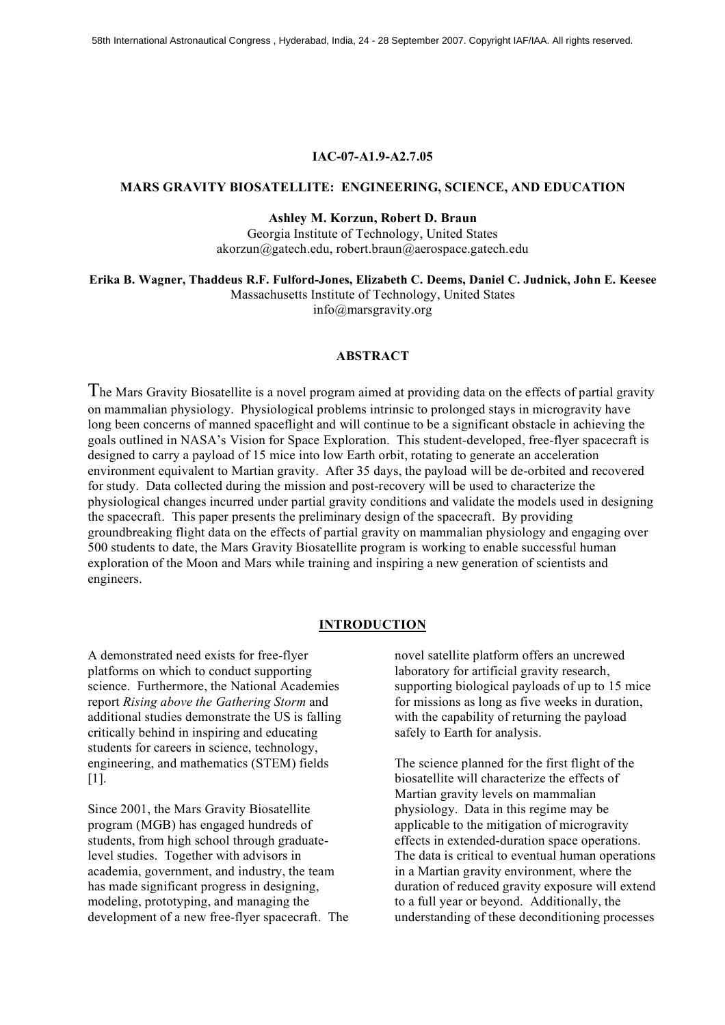## **IAC-07-A1.9-A2.7.05**

#### **MARS GRAVITY BIOSATELLITE: ENGINEERING, SCIENCE, AND EDUCATION**

**Ashley M. Korzun, Robert D. Braun**

Georgia Institute of Technology, United States akorzun@gatech.edu, robert.braun@aerospace.gatech.edu

**Erika B. Wagner, Thaddeus R.F. Fulford-Jones, Elizabeth C. Deems, Daniel C. Judnick, John E. Keesee** Massachusetts Institute of Technology, United States

info@marsgravity.org

# **ABSTRACT**

The Mars Gravity Biosatellite is <sup>a</sup> novel program aimed at providing data on the effects of partial gravity on mammalian physiology. Physiological problems intrinsic to prolonged stays in microgravity have long been concerns of manned spaceflight and will continue to be a significant obstacle in achieving the goals outlined in NASA's Vision for Space Exploration. This student-developed, free-flyer spacecraft is designed to carry a payload of 15 mice into low Earth orbit, rotating to generate an acceleration environment equivalent to Martian gravity. After 35 days, the payload will be de-orbited and recovered for study. Data collected during the mission and post-recovery will be used to characterize the physiological changes incurred under partial gravity conditions and validate the models used in designing the spacecraft. This paper presents the preliminary design of the spacecraft. By providing groundbreaking flight data on the effects of partial gravity on mammalian physiology and engaging over 500 students to date, the Mars Gravity Biosatellite program is working to enable successful human exploration of the Moon and Mars while training and inspiring a new generation of scientists and engineers.

### **INTRODUCTION**

A demonstrated need exists for free-flyer platforms on which to conduct supporting science. Furthermore, the National Academies report *Rising above the Gathering Storm* and additional studies demonstrate the US is falling critically behind in inspiring and educating students for careers in science, technology, engineering, and mathematics (STEM) fields [1].

Since 2001, the Mars Gravity Biosatellite program (MGB) has engaged hundreds of students, from high school through graduatelevel studies. Together with advisors in academia, government, and industry, the team has made significant progress in designing, modeling, prototyping, and managing the development of a new free-flyer spacecraft. The novel satellite platform offers an uncrewed laboratory for artificial gravity research, supporting biological payloads of up to 15 mice for missions as long as five weeks in duration, with the capability of returning the payload safely to Earth for analysis.

The science planned for the first flight of the biosatellite will characterize the effects of Martian gravity levels on mammalian physiology. Data in this regime may be applicable to the mitigation of microgravity effects in extended-duration space operations. The data is critical to eventual human operations in a Martian gravity environment, where the duration of reduced gravity exposure will extend to a full year or beyond. Additionally, the understanding of these deconditioning processes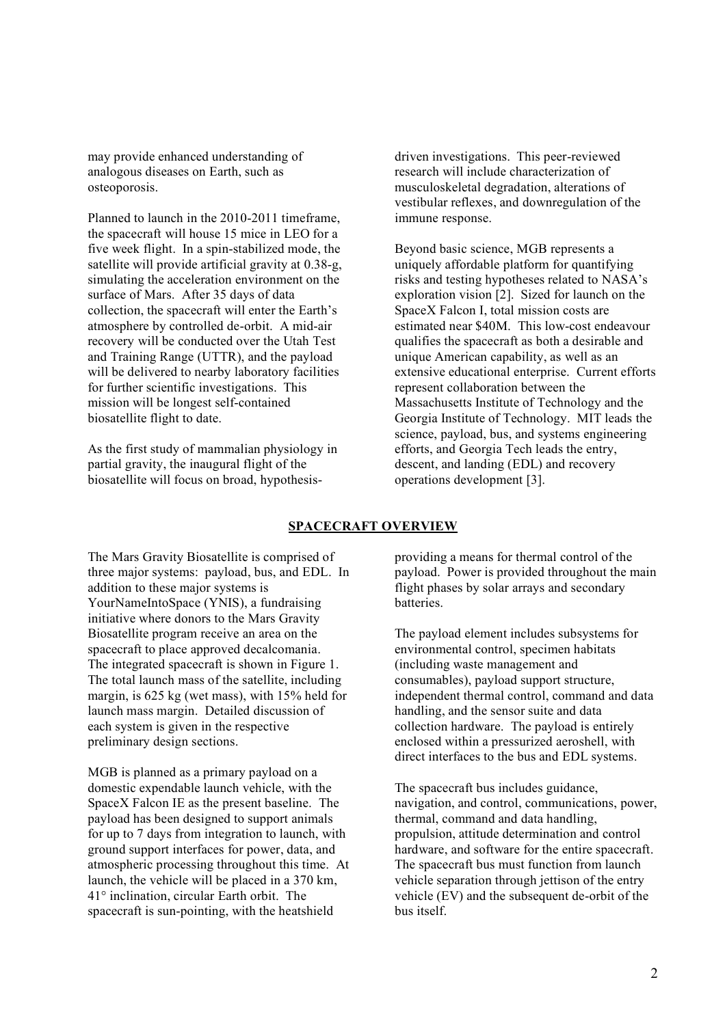may provide enhanced understanding of analogous diseases on Earth, such as osteoporosis.

Planned to launch in the 2010-2011 timeframe, the spacecraft will house 15 mice in LEO for a five week flight. In a spin-stabilized mode, the satellite will provide artificial gravity at 0.38-g, simulating the acceleration environment on the surface of Mars. After 35 days of data collection, the spacecraft will enter the Earth's atmosphere by controlled de-orbit. A mid-air recovery will be conducted over the Utah Test and Training Range (UTTR), and the payload will be delivered to nearby laboratory facilities for further scientific investigations. This mission will be longest self-contained biosatellite flight to date.

As the first study of mammalian physiology in partial gravity, the inaugural flight of the biosatellite will focus on broad, hypothesisdriven investigations. This peer-reviewed research will include characterization of musculoskeletal degradation, alterations of vestibular reflexes, and downregulation of the immune response.

Beyond basic science, MGB represents a uniquely affordable platform for quantifying risks and testing hypotheses related to NASA's exploration vision [2]. Sized for launch on the SpaceX Falcon I, total mission costs are estimated near \$40M. This low-cost endeavour qualifies the spacecraft as both a desirable and unique American capability, as well as an extensive educational enterprise. Current efforts represent collaboration between the Massachusetts Institute of Technology and the Georgia Institute of Technology. MIT leads the science, payload, bus, and systems engineering efforts, and Georgia Tech leads the entry, descent, and landing (EDL) and recovery operations development [3].

# **SPACECRAFT OVERVIEW**

The Mars Gravity Biosatellite is comprised of three major systems: payload, bus, and EDL. In addition to these major systems is YourNameIntoSpace (YNIS), a fundraising initiative where donors to the Mars Gravity Biosatellite program receive an area on the spacecraft to place approved decalcomania. The integrated spacecraft is shown in Figure 1. The total launch mass of the satellite, including margin, is 625 kg (wet mass), with 15% held for launch mass margin. Detailed discussion of each system is given in the respective preliminary design sections.

MGB is planned as a primary payload on a domestic expendable launch vehicle, with the SpaceX Falcon IE as the present baseline. The payload has been designed to support animals for up to 7 days from integration to launch, with ground support interfaces for power, data, and atmospheric processing throughout this time. At launch, the vehicle will be placed in a 370 km, 41° inclination, circular Earth orbit. The spacecraft is sun-pointing, with the heatshield

providing a means for thermal control of the payload. Power is provided throughout the main flight phases by solar arrays and secondary batteries.

The payload element includes subsystems for environmental control, specimen habitats (including waste management and consumables), payload support structure, independent thermal control, command and data handling, and the sensor suite and data collection hardware. The payload is entirely enclosed within a pressurized aeroshell, with direct interfaces to the bus and EDL systems.

The spacecraft bus includes guidance, navigation, and control, communications, power, thermal, command and data handling, propulsion, attitude determination and control hardware, and software for the entire spacecraft. The spacecraft bus must function from launch vehicle separation through jettison of the entry vehicle (EV) and the subsequent de-orbit of the bus itself.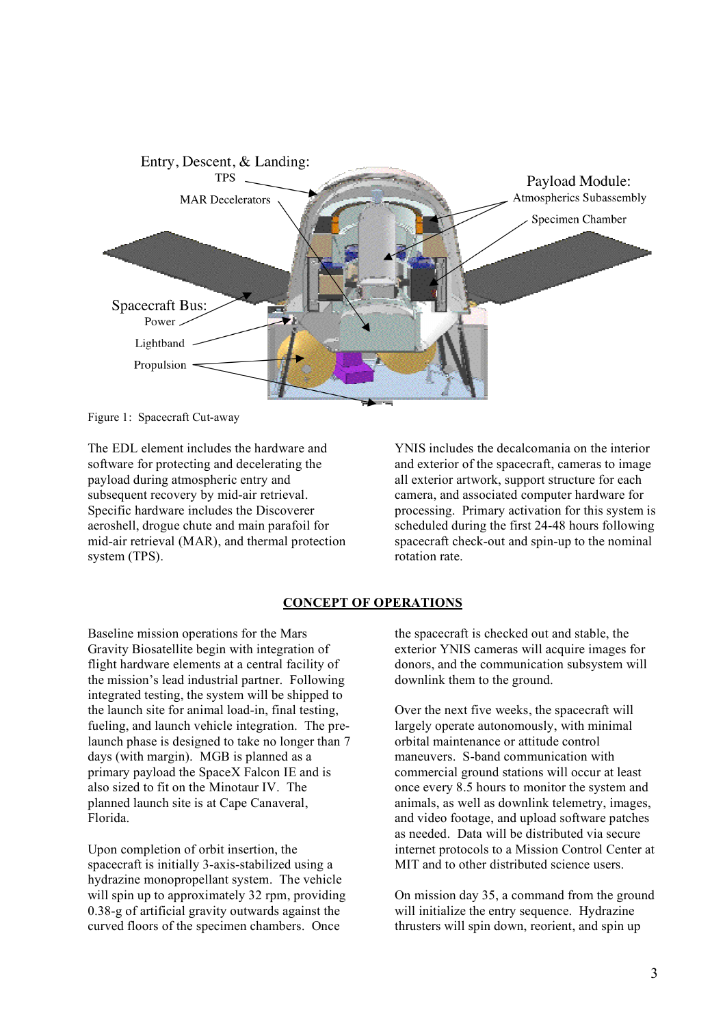

Figure 1: Spacecraft Cut-away

The EDL element includes the hardware and software for protecting and decelerating the payload during atmospheric entry and subsequent recovery by mid-air retrieval. Specific hardware includes the Discoverer aeroshell, drogue chute and main parafoil for mid-air retrieval (MAR), and thermal protection system (TPS).

YNIS includes the decalcomania on the interior and exterior of the spacecraft, cameras to image all exterior artwork, support structure for each camera, and associated computer hardware for processing. Primary activation for this system is scheduled during the first 24-48 hours following spacecraft check-out and spin-up to the nominal rotation rate.

# **CONCEPT OF OPERATIONS**

Baseline mission operations for the Mars Gravity Biosatellite begin with integration of flight hardware elements at a central facility of the mission's lead industrial partner. Following integrated testing, the system will be shipped to the launch site for animal load-in, final testing, fueling, and launch vehicle integration. The prelaunch phase is designed to take no longer than 7 days (with margin). MGB is planned as a primary payload the SpaceX Falcon IE and is also sized to fit on the Minotaur IV. The planned launch site is at Cape Canaveral, Florida.

Upon completion of orbit insertion, the spacecraft is initially 3-axis-stabilized using a hydrazine monopropellant system. The vehicle will spin up to approximately 32 rpm, providing 0.38-g of artificial gravity outwards against the curved floors of the specimen chambers. Once

the spacecraft is checked out and stable, the exterior YNIS cameras will acquire images for donors, and the communication subsystem will downlink them to the ground.

Over the next five weeks, the spacecraft will largely operate autonomously, with minimal orbital maintenance or attitude control maneuvers. S-band communication with commercial ground stations will occur at least once every 8.5 hours to monitor the system and animals, as well as downlink telemetry, images, and video footage, and upload software patches as needed. Data will be distributed via secure internet protocols to a Mission Control Center at MIT and to other distributed science users.

On mission day 35, a command from the ground will initialize the entry sequence. Hydrazine thrusters will spin down, reorient, and spin up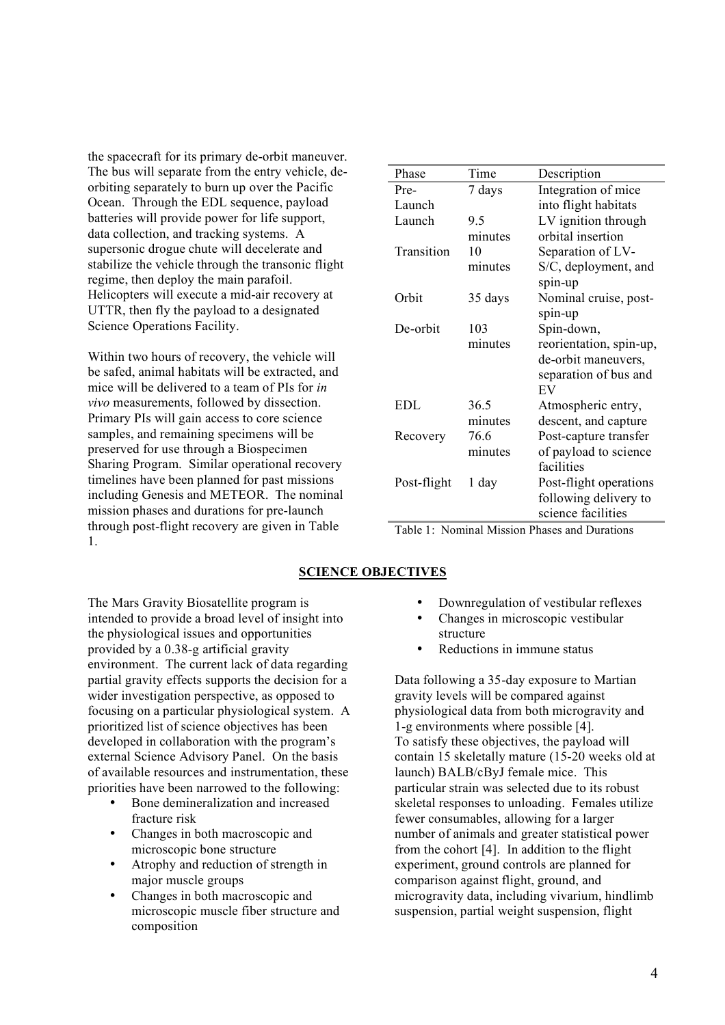the spacecraft for its primary de-orbit maneuver. The bus will separate from the entry vehicle, deorbiting separately to burn up over the Pacific Ocean. Through the EDL sequence, payload batteries will provide power for life support, data collection, and tracking systems. A supersonic drogue chute will decelerate and stabilize the vehicle through the transonic flight regime, then deploy the main parafoil. Helicopters will execute a mid-air recovery at UTTR, then fly the payload to a designated Science Operations Facility.

Within two hours of recovery, the vehicle will be safed, animal habitats will be extracted, and mice will be delivered to a team of PIs for *in vivo* measurements, followed by dissection. Primary PIs will gain access to core science samples, and remaining specimens will be preserved for use through a Biospecimen Sharing Program. Similar operational recovery timelines have been planned for past missions including Genesis and METEOR. The nominal mission phases and durations for pre-launch through post-flight recovery are given in Table 1.

| Phase       | Time    | Description             |
|-------------|---------|-------------------------|
| Pre-        | 7 days  | Integration of mice     |
| Launch      |         | into flight habitats    |
| Launch      | 9.5     | LV ignition through     |
|             | minutes | orbital insertion       |
| Transition  | 10      | Separation of LV-       |
|             | minutes | S/C, deployment, and    |
|             |         | spin-up                 |
| Orbit       | 35 days | Nominal cruise, post-   |
|             |         | spin-up                 |
| De-orbit    | 103     | Spin-down,              |
|             | minutes | reorientation, spin-up, |
|             |         | de-orbit maneuvers,     |
|             |         | separation of bus and   |
|             |         | EV                      |
| <b>EDL</b>  | 36.5    | Atmospheric entry,      |
|             | minutes | descent, and capture    |
| Recovery    | 76.6    | Post-capture transfer   |
|             | minutes | of payload to science   |
|             |         | facilities              |
| Post-flight | 1 day   | Post-flight operations  |
|             |         | following delivery to   |
|             |         | science facilities      |
|             |         |                         |

Table 1: Nominal Mission Phases and Durations

# **SCIENCE OBJECTIVES**

The Mars Gravity Biosatellite program is intended to provide a broad level of insight into the physiological issues and opportunities provided by a 0.38-g artificial gravity environment. The current lack of data regarding partial gravity effects supports the decision for a wider investigation perspective, as opposed to focusing on a particular physiological system. A prioritized list of science objectives has been developed in collaboration with the program's external Science Advisory Panel. On the basis of available resources and instrumentation, these priorities have been narrowed to the following:

- Bone demineralization and increased fracture risk
- Changes in both macroscopic and microscopic bone structure
- Atrophy and reduction of strength in major muscle groups
- Changes in both macroscopic and microscopic muscle fiber structure and composition
- Downregulation of vestibular reflexes
- Changes in microscopic vestibular structure
- Reductions in immune status

Data following a 35-day exposure to Martian gravity levels will be compared against physiological data from both microgravity and 1-g environments where possible [4]. To satisfy these objectives, the payload will contain 15 skeletally mature (15-20 weeks old at launch) BALB/cByJ female mice. This particular strain was selected due to its robust skeletal responses to unloading. Females utilize fewer consumables, allowing for a larger number of animals and greater statistical power from the cohort [4]. In addition to the flight experiment, ground controls are planned for comparison against flight, ground, and microgravity data, including vivarium, hindlimb suspension, partial weight suspension, flight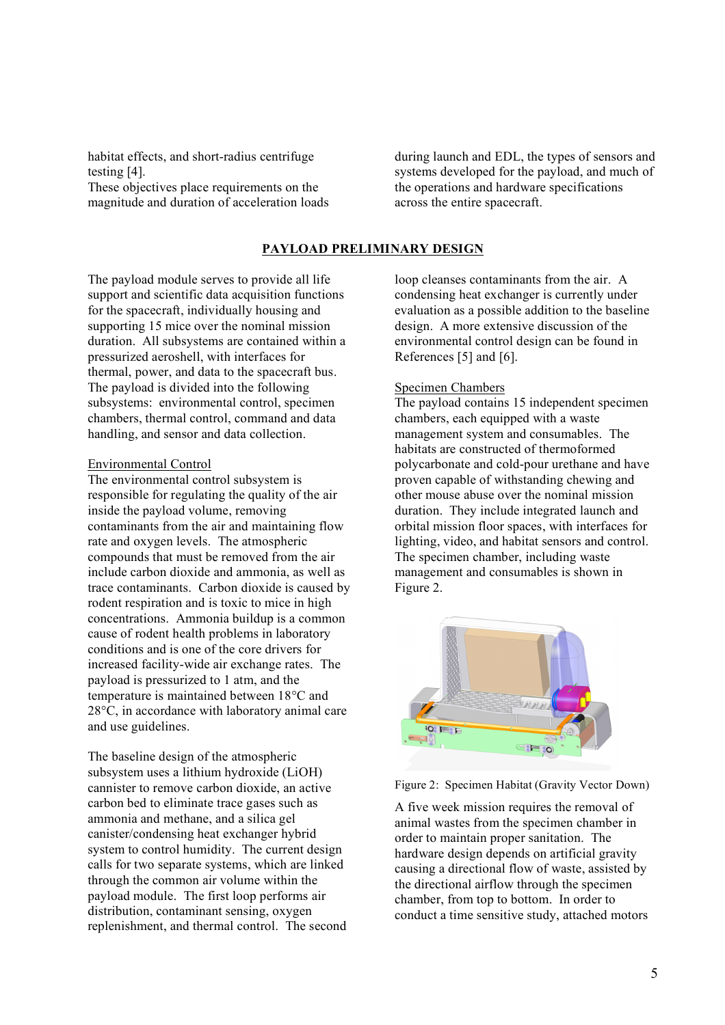habitat effects, and short-radius centrifuge testing [4].

These objectives place requirements on the magnitude and duration of acceleration loads during launch and EDL, the types of sensors and systems developed for the payload, and much of the operations and hardware specifications across the entire spacecraft.

# **PAYLOAD PRELIMINARY DESIGN**

The payload module serves to provide all life support and scientific data acquisition functions for the spacecraft, individually housing and supporting 15 mice over the nominal mission duration. All subsystems are contained within a pressurized aeroshell, with interfaces for thermal, power, and data to the spacecraft bus. The payload is divided into the following subsystems: environmental control, specimen chambers, thermal control, command and data handling, and sensor and data collection.

#### Environmental Control

The environmental control subsystem is responsible for regulating the quality of the air inside the payload volume, removing contaminants from the air and maintaining flow rate and oxygen levels. The atmospheric compounds that must be removed from the air include carbon dioxide and ammonia, as well as trace contaminants. Carbon dioxide is caused by rodent respiration and is toxic to mice in high concentrations. Ammonia buildup is a common cause of rodent health problems in laboratory conditions and is one of the core drivers for increased facility-wide air exchange rates. The payload is pressurized to 1 atm, and the temperature is maintained between 18°C and 28°C, in accordance with laboratory animal care and use guidelines.

The baseline design of the atmospheric subsystem uses a lithium hydroxide (LiOH) cannister to remove carbon dioxide, an active carbon bed to eliminate trace gases such as ammonia and methane, and a silica gel canister/condensing heat exchanger hybrid system to control humidity. The current design calls for two separate systems, which are linked through the common air volume within the payload module. The first loop performs air distribution, contaminant sensing, oxygen replenishment, and thermal control. The second loop cleanses contaminants from the air. A condensing heat exchanger is currently under evaluation as a possible addition to the baseline design. A more extensive discussion of the environmental control design can be found in References [5] and [6].

#### Specimen Chambers

The payload contains 15 independent specimen chambers, each equipped with a waste management system and consumables. The habitats are constructed of thermoformed polycarbonate and cold-pour urethane and have proven capable of withstanding chewing and other mouse abuse over the nominal mission duration. They include integrated launch and orbital mission floor spaces, with interfaces for lighting, video, and habitat sensors and control. The specimen chamber, including waste management and consumables is shown in Figure 2.



Figure 2: Specimen Habitat (Gravity Vector Down)

A five week mission requires the removal of animal wastes from the specimen chamber in order to maintain proper sanitation. The hardware design depends on artificial gravity causing a directional flow of waste, assisted by the directional airflow through the specimen chamber, from top to bottom. In order to conduct a time sensitive study, attached motors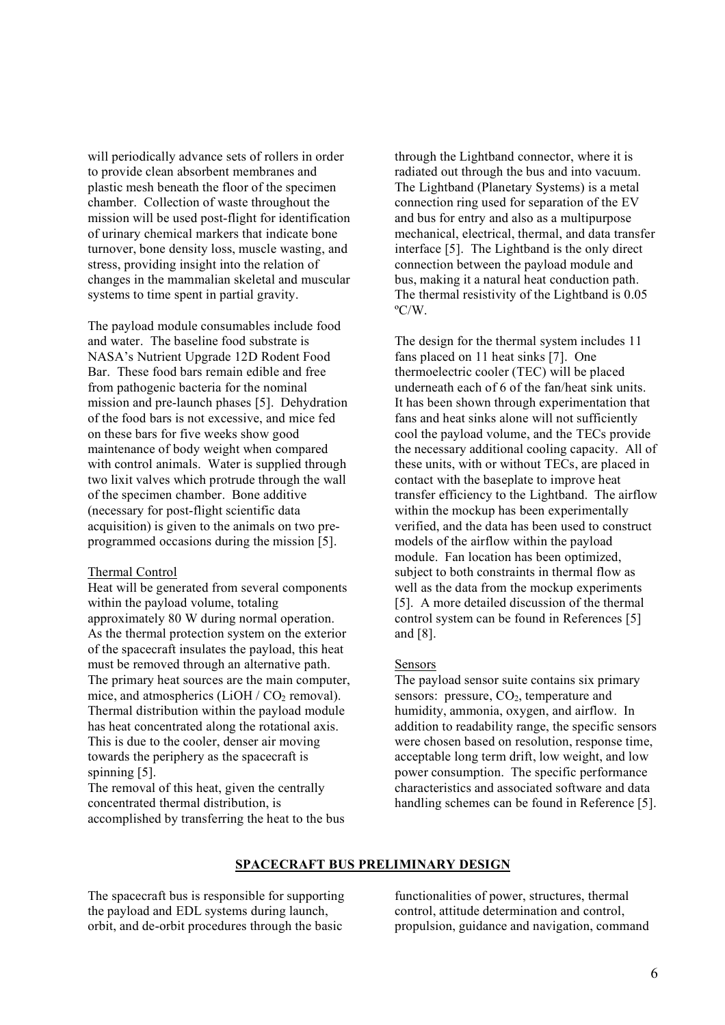will periodically advance sets of rollers in order to provide clean absorbent membranes and plastic mesh beneath the floor of the specimen chamber. Collection of waste throughout the mission will be used post-flight for identification of urinary chemical markers that indicate bone turnover, bone density loss, muscle wasting, and stress, providing insight into the relation of changes in the mammalian skeletal and muscular systems to time spent in partial gravity.

The payload module consumables include food and water. The baseline food substrate is NASA's Nutrient Upgrade 12D Rodent Food Bar. These food bars remain edible and free from pathogenic bacteria for the nominal mission and pre-launch phases [5]. Dehydration of the food bars is not excessive, and mice fed on these bars for five weeks show good maintenance of body weight when compared with control animals. Water is supplied through two lixit valves which protrude through the wall of the specimen chamber. Bone additive (necessary for post-flight scientific data acquisition) is given to the animals on two preprogrammed occasions during the mission [5].

#### Thermal Control

Heat will be generated from several components within the payload volume, totaling approximately 80 W during normal operation. As the thermal protection system on the exterior of the spacecraft insulates the payload, this heat must be removed through an alternative path. The primary heat sources are the main computer, mice, and atmospherics  $(LiOH / CO<sub>2</sub>$  removal). Thermal distribution within the payload module has heat concentrated along the rotational axis. This is due to the cooler, denser air moving towards the periphery as the spacecraft is spinning [5].

The removal of this heat, given the centrally concentrated thermal distribution, is accomplished by transferring the heat to the bus through the Lightband connector, where it is radiated out through the bus and into vacuum. The Lightband (Planetary Systems) is a metal connection ring used for separation of the EV and bus for entry and also as a multipurpose mechanical, electrical, thermal, and data transfer interface [5]. The Lightband is the only direct connection between the payload module and bus, making it a natural heat conduction path. The thermal resistivity of the Lightband is 0.05 ºC/W.

The design for the thermal system includes 11 fans placed on 11 heat sinks [7]. One thermoelectric cooler (TEC) will be placed underneath each of 6 of the fan/heat sink units. It has been shown through experimentation that fans and heat sinks alone will not sufficiently cool the payload volume, and the TECs provide the necessary additional cooling capacity. All of these units, with or without TECs, are placed in contact with the baseplate to improve heat transfer efficiency to the Lightband. The airflow within the mockup has been experimentally verified, and the data has been used to construct models of the airflow within the payload module. Fan location has been optimized, subject to both constraints in thermal flow as well as the data from the mockup experiments [5]. A more detailed discussion of the thermal control system can be found in References [5] and [8].

# Sensors

The payload sensor suite contains six primary sensors: pressure,  $CO<sub>2</sub>$ , temperature and humidity, ammonia, oxygen, and airflow. In addition to readability range, the specific sensors were chosen based on resolution, response time, acceptable long term drift, low weight, and low power consumption. The specific performance characteristics and associated software and data handling schemes can be found in Reference [5].

## **SPACECRAFT BUS PRELIMINARY DESIGN**

The spacecraft bus is responsible for supporting the payload and EDL systems during launch, orbit, and de-orbit procedures through the basic

functionalities of power, structures, thermal control, attitude determination and control, propulsion, guidance and navigation, command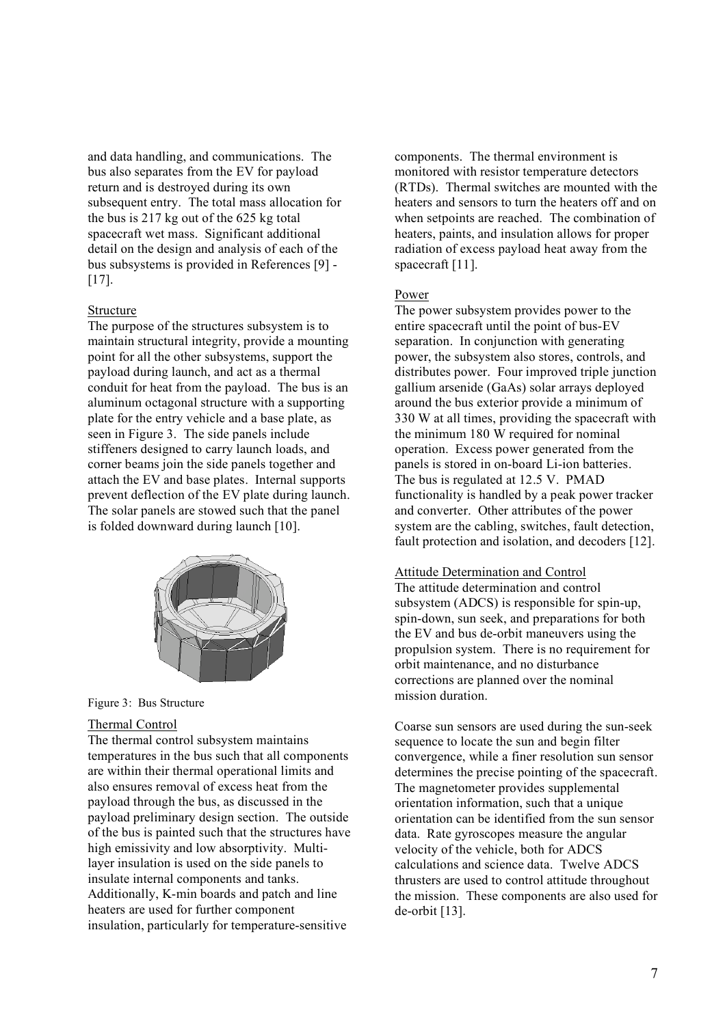and data handling, and communications. The bus also separates from the EV for payload return and is destroyed during its own subsequent entry. The total mass allocation for the bus is 217 kg out of the 625 kg total spacecraft wet mass. Significant additional detail on the design and analysis of each of the bus subsystems is provided in References [9] - [17].

## Structure

The purpose of the structures subsystem is to maintain structural integrity, provide a mounting point for all the other subsystems, support the payload during launch, and act as a thermal conduit for heat from the payload. The bus is an aluminum octagonal structure with a supporting plate for the entry vehicle and a base plate, as seen in Figure 3. The side panels include stiffeners designed to carry launch loads, and corner beams join the side panels together and attach the EV and base plates. Internal supports prevent deflection of the EV plate during launch. The solar panels are stowed such that the panel is folded downward during launch [10].



Figure 3: Bus Structure

#### Thermal Control

The thermal control subsystem maintains temperatures in the bus such that all components are within their thermal operational limits and also ensures removal of excess heat from the payload through the bus, as discussed in the payload preliminary design section. The outside of the bus is painted such that the structures have high emissivity and low absorptivity. Multilayer insulation is used on the side panels to insulate internal components and tanks. Additionally, K-min boards and patch and line heaters are used for further component insulation, particularly for temperature-sensitive

components. The thermal environment is monitored with resistor temperature detectors (RTDs). Thermal switches are mounted with the heaters and sensors to turn the heaters off and on when setpoints are reached. The combination of heaters, paints, and insulation allows for proper radiation of excess payload heat away from the spacecraft [11].

### Power

The power subsystem provides power to the entire spacecraft until the point of bus-EV separation. In conjunction with generating power, the subsystem also stores, controls, and distributes power. Four improved triple junction gallium arsenide (GaAs) solar arrays deployed around the bus exterior provide a minimum of 330 W at all times, providing the spacecraft with the minimum 180 W required for nominal operation. Excess power generated from the panels is stored in on-board Li-ion batteries. The bus is regulated at 12.5 V. PMAD functionality is handled by a peak power tracker and converter. Other attributes of the power system are the cabling, switches, fault detection, fault protection and isolation, and decoders [12].

# Attitude Determination and Control

The attitude determination and control subsystem (ADCS) is responsible for spin-up, spin-down, sun seek, and preparations for both the EV and bus de-orbit maneuvers using the propulsion system. There is no requirement for orbit maintenance, and no disturbance corrections are planned over the nominal mission duration.

Coarse sun sensors are used during the sun-seek sequence to locate the sun and begin filter convergence, while a finer resolution sun sensor determines the precise pointing of the spacecraft. The magnetometer provides supplemental orientation information, such that a unique orientation can be identified from the sun sensor data. Rate gyroscopes measure the angular velocity of the vehicle, both for ADCS calculations and science data. Twelve ADCS thrusters are used to control attitude throughout the mission. These components are also used for de-orbit [13].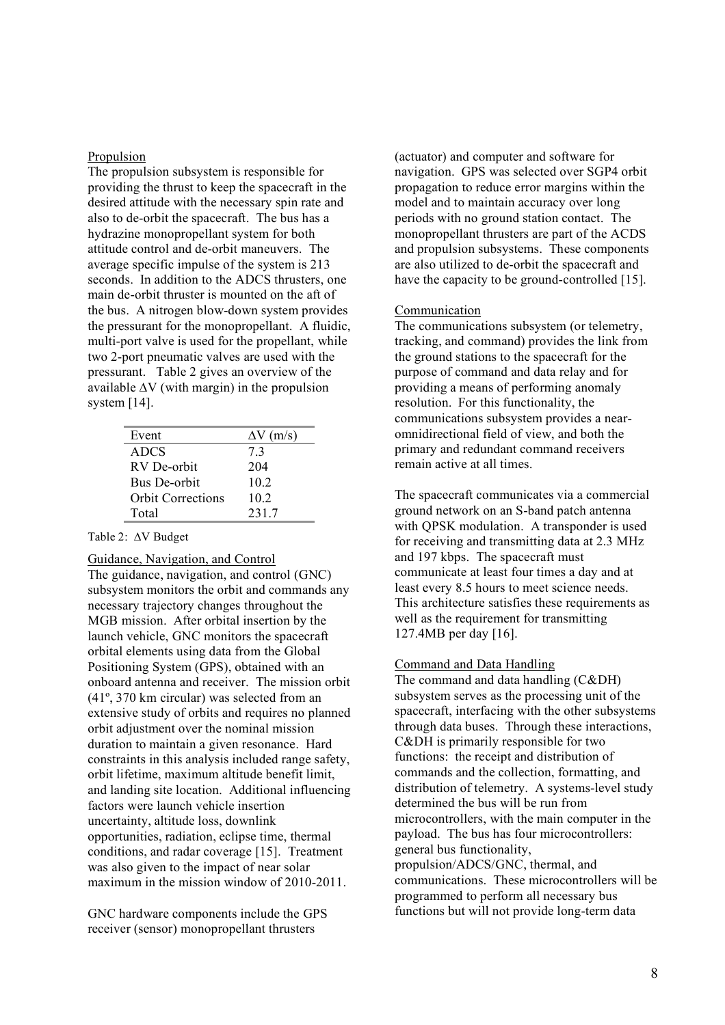#### Propulsion

The propulsion subsystem is responsible for providing the thrust to keep the spacecraft in the desired attitude with the necessary spin rate and also to de-orbit the spacecraft. The bus has a hydrazine monopropellant system for both attitude control and de-orbit maneuvers. The average specific impulse of the system is 213 seconds. In addition to the ADCS thrusters, one main de-orbit thruster is mounted on the aft of the bus. A nitrogen blow-down system provides the pressurant for the monopropellant. A fluidic, multi-port valve is used for the propellant, while two 2-port pneumatic valves are used with the pressurant. Table 2 gives an overview of the available ∆V (with margin) in the propulsion system [14].

| Event                    | $\Delta V$ (m/s) |
|--------------------------|------------------|
| <b>ADCS</b>              | 73               |
| RV De-orbit              | 204              |
| Bus De-orbit             | 102              |
| <b>Orbit Corrections</b> | 102              |
| Total                    | 2317             |

Table 2: ∆V Budget

Guidance, Navigation, and Control

The guidance, navigation, and control (GNC) subsystem monitors the orbit and commands any necessary trajectory changes throughout the MGB mission. After orbital insertion by the launch vehicle, GNC monitors the spacecraft orbital elements using data from the Global Positioning System (GPS), obtained with an onboard antenna and receiver. The mission orbit (41º, 370 km circular) was selected from an extensive study of orbits and requires no planned orbit adjustment over the nominal mission duration to maintain a given resonance. Hard constraints in this analysis included range safety, orbit lifetime, maximum altitude benefit limit, and landing site location. Additional influencing factors were launch vehicle insertion uncertainty, altitude loss, downlink opportunities, radiation, eclipse time, thermal conditions, and radar coverage [15]. Treatment was also given to the impact of near solar maximum in the mission window of 2010-2011.

GNC hardware components include the GPS receiver (sensor) monopropellant thrusters

(actuator) and computer and software for navigation. GPS was selected over SGP4 orbit propagation to reduce error margins within the model and to maintain accuracy over long periods with no ground station contact. The monopropellant thrusters are part of the ACDS and propulsion subsystems. These components are also utilized to de-orbit the spacecraft and have the capacity to be ground-controlled [15].

#### Communication

The communications subsystem (or telemetry, tracking, and command) provides the link from the ground stations to the spacecraft for the purpose of command and data relay and for providing a means of performing anomaly resolution. For this functionality, the communications subsystem provides a nearomnidirectional field of view, and both the primary and redundant command receivers remain active at all times.

The spacecraft communicates via a commercial ground network on an S-band patch antenna with OPSK modulation. A transponder is used for receiving and transmitting data at 2.3 MHz and 197 kbps. The spacecraft must communicate at least four times a day and at least every 8.5 hours to meet science needs. This architecture satisfies these requirements as well as the requirement for transmitting 127.4MB per day [16].

#### Command and Data Handling

The command and data handling (C&DH) subsystem serves as the processing unit of the spacecraft, interfacing with the other subsystems through data buses. Through these interactions, C&DH is primarily responsible for two functions: the receipt and distribution of commands and the collection, formatting, and distribution of telemetry. A systems-level study determined the bus will be run from microcontrollers, with the main computer in the payload. The bus has four microcontrollers: general bus functionality, propulsion/ADCS/GNC, thermal, and communications. These microcontrollers will be programmed to perform all necessary bus functions but will not provide long-term data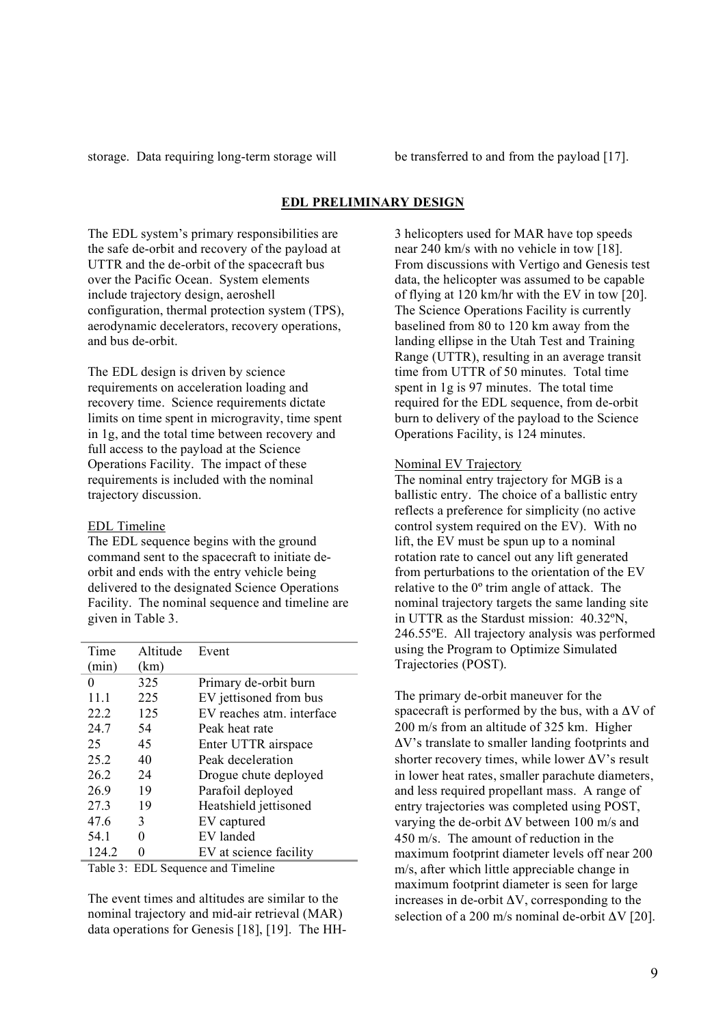storage. Data requiring long-term storage will be transferred to and from the payload [17].

# **EDL PRELIMINARY DESIGN**

The EDL system's primary responsibilities are the safe de-orbit and recovery of the payload at UTTR and the de-orbit of the spacecraft bus over the Pacific Ocean. System elements include trajectory design, aeroshell configuration, thermal protection system (TPS), aerodynamic decelerators, recovery operations, and bus de-orbit.

The EDL design is driven by science requirements on acceleration loading and recovery time. Science requirements dictate limits on time spent in microgravity, time spent in 1g, and the total time between recovery and full access to the payload at the Science Operations Facility. The impact of these requirements is included with the nominal trajectory discussion.

# EDL Timeline

The EDL sequence begins with the ground command sent to the spacecraft to initiate deorbit and ends with the entry vehicle being delivered to the designated Science Operations Facility. The nominal sequence and timeline are given in Table 3.

| Time     | Altitude | Event                     |
|----------|----------|---------------------------|
| (min)    | (km)     |                           |
| $\theta$ | 325      | Primary de-orbit burn     |
| 11.1     | 225      | EV jettisoned from bus    |
| 22.2     | 125      | EV reaches atm. interface |
| 24.7     | 54       | Peak heat rate            |
| 25       | 45       | Enter UTTR airspace       |
| 25.2     | 40       | Peak deceleration         |
| 26.2     | 24       | Drogue chute deployed     |
| 26.9     | 19       | Parafoil deployed         |
| 27.3     | 19       | Heatshield jettisoned     |
| 47.6     | 3        | EV captured               |
| 54.1     | 0        | EV landed                 |
| 124.2    |          | EV at science facility    |

Table 3: EDL Sequence and Timeline

The event times and altitudes are similar to the nominal trajectory and mid-air retrieval (MAR) data operations for Genesis [18], [19]. The HH- 3 helicopters used for MAR have top speeds near 240 km/s with no vehicle in tow [18]. From discussions with Vertigo and Genesis test data, the helicopter was assumed to be capable of flying at 120 km/hr with the EV in tow [20]. The Science Operations Facility is currently baselined from 80 to 120 km away from the landing ellipse in the Utah Test and Training Range (UTTR), resulting in an average transit time from UTTR of 50 minutes. Total time spent in 1g is 97 minutes. The total time required for the EDL sequence, from de-orbit burn to delivery of the payload to the Science Operations Facility, is 124 minutes.

## Nominal EV Trajectory

The nominal entry trajectory for MGB is a ballistic entry. The choice of a ballistic entry reflects a preference for simplicity (no active control system required on the EV). With no lift, the EV must be spun up to a nominal rotation rate to cancel out any lift generated from perturbations to the orientation of the EV relative to the 0º trim angle of attack. The nominal trajectory targets the same landing site in UTTR as the Stardust mission: 40.32ºN, 246.55ºE. All trajectory analysis was performed using the Program to Optimize Simulated Trajectories (POST).

The primary de-orbit maneuver for the spacecraft is performed by the bus, with a  $\Delta V$  of 200 m/s from an altitude of 325 km. Higher ΔV's translate to smaller landing footprints and shorter recovery times, while lower  $\Delta V$ 's result in lower heat rates, smaller parachute diameters, and less required propellant mass. A range of entry trajectories was completed using POST, varying the de-orbit  $\Delta V$  between 100 m/s and 450 m/s. The amount of reduction in the maximum footprint diameter levels off near 200 m/s, after which little appreciable change in maximum footprint diameter is seen for large increases in de-orbit  $\Delta V$ , corresponding to the selection of a 200 m/s nominal de-orbit  $\Delta V$  [20].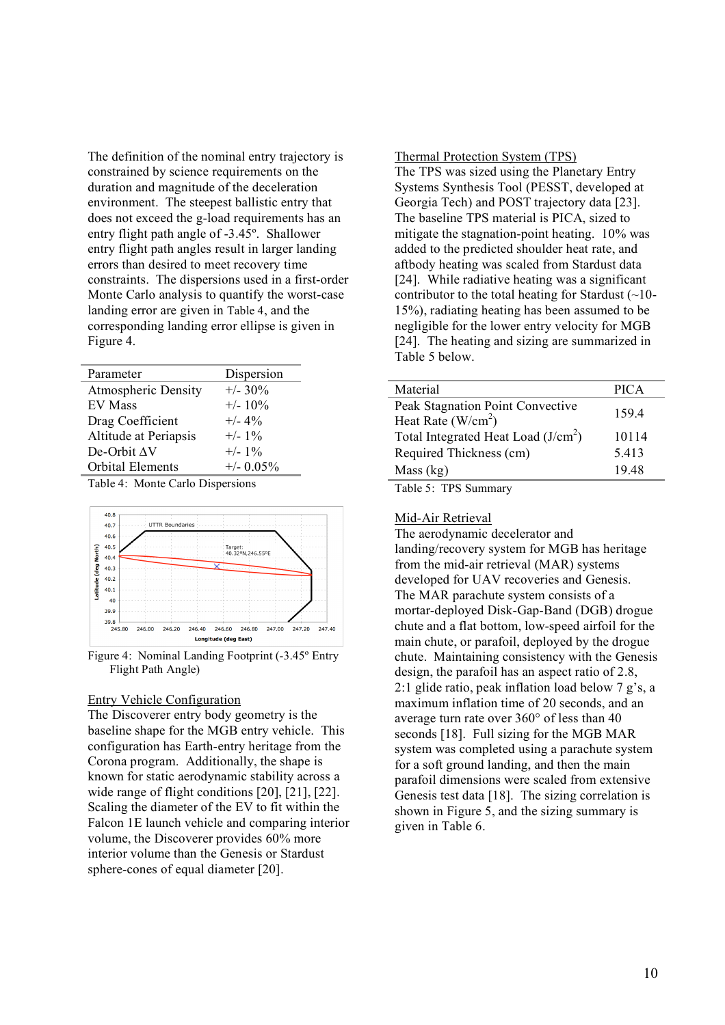The definition of the nominal entry trajectory is constrained by science requirements on the duration and magnitude of the deceleration environment. The steepest ballistic entry that does not exceed the g-load requirements has an entry flight path angle of -3.45º. Shallower entry flight path angles result in larger landing errors than desired to meet recovery time constraints. The dispersions used in a first-order Monte Carlo analysis to quantify the worst-case landing error are given in Table 4, and the corresponding landing error ellipse is given in Figure 4.

| Parameter                  | Dispersion   |
|----------------------------|--------------|
| <b>Atmospheric Density</b> | $+/- 30\%$   |
| <b>EV Mass</b>             | $+/- 10\%$   |
| Drag Coefficient           | $+/- 4\%$    |
| Altitude at Periapsis      | $+/- 1\%$    |
| De-Orbit AV                | $+/- 1\%$    |
| Orbital Elements           | $+/- 0.05\%$ |
|                            |              |

Table 4: Monte Carlo Dispersions



Figure 4: Nominal Landing Footprint (-3.45º Entry Flight Path Angle)

### Entry Vehicle Configuration

The Discoverer entry body geometry is the baseline shape for the MGB entry vehicle. This configuration has Earth-entry heritage from the Corona program. Additionally, the shape is known for static aerodynamic stability across a wide range of flight conditions [20], [21], [22]. Scaling the diameter of the EV to fit within the Falcon 1E launch vehicle and comparing interior volume, the Discoverer provides 60% more interior volume than the Genesis or Stardust sphere-cones of equal diameter [20].

Thermal Protection System (TPS) The TPS was sized using the Planetary Entry Systems Synthesis Tool (PESST, developed at

Georgia Tech) and POST trajectory data [23]. The baseline TPS material is PICA, sized to mitigate the stagnation-point heating. 10% was added to the predicted shoulder heat rate, and aftbody heating was scaled from Stardust data [24]. While radiative heating was a significant contributor to the total heating for Stardust  $(\sim]$ 10-15%), radiating heating has been assumed to be negligible for the lower entry velocity for MGB [24]. The heating and sizing are summarized in Table 5 below.

| Material                                                | <b>PICA</b> |
|---------------------------------------------------------|-------------|
| Peak Stagnation Point Convective<br>Heat Rate $(W/cm2)$ | 159.4       |
| Total Integrated Heat Load $(J/cm2)$                    | 10114       |
| Required Thickness (cm)                                 | 5.413       |
| Mass (kg)                                               | 1948        |
| $T.1.1.7.$ TDC                                          |             |

Table 5: TPS Summary

#### Mid-Air Retrieval

The aerodynamic decelerator and landing/recovery system for MGB has heritage from the mid-air retrieval (MAR) systems developed for UAV recoveries and Genesis. The MAR parachute system consists of a mortar-deployed Disk-Gap-Band (DGB) drogue chute and a flat bottom, low-speed airfoil for the main chute, or parafoil, deployed by the drogue chute. Maintaining consistency with the Genesis design, the parafoil has an aspect ratio of 2.8, 2:1 glide ratio, peak inflation load below 7 g's, a maximum inflation time of 20 seconds, and an average turn rate over 360° of less than 40 seconds [18]. Full sizing for the MGB MAR system was completed using a parachute system for a soft ground landing, and then the main parafoil dimensions were scaled from extensive Genesis test data [18]. The sizing correlation is shown in Figure 5, and the sizing summary is given in Table 6.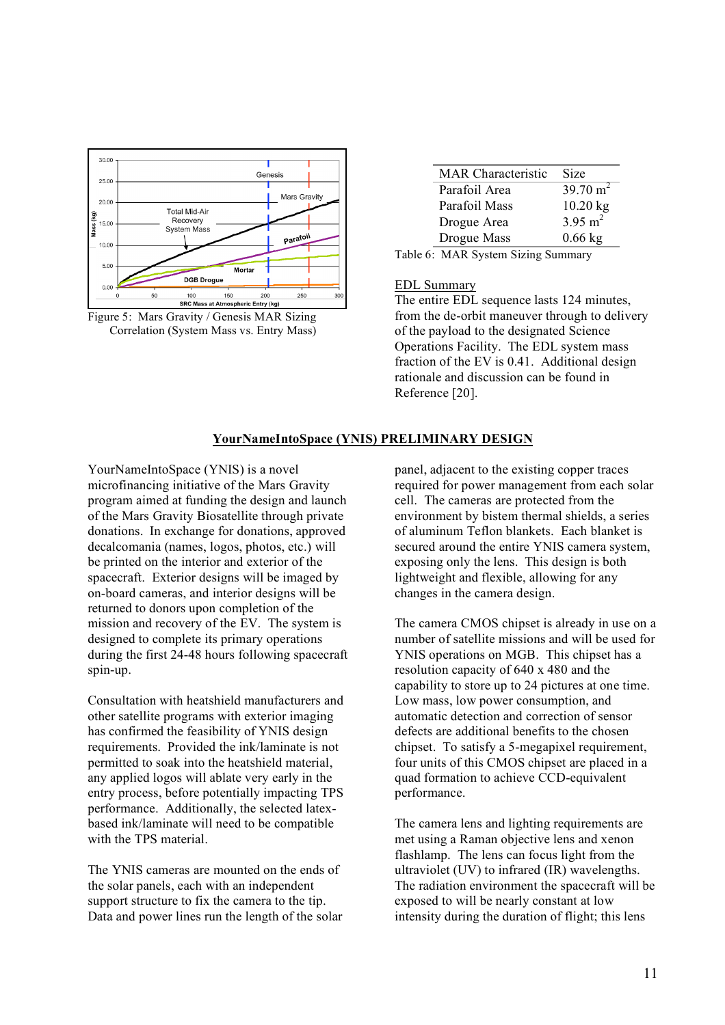

Figure 5: Mars Gravity / Genesis MAR Sizing Correlation (System Mass vs. Entry Mass)

| <b>MAR</b> Characteristic | Size                |
|---------------------------|---------------------|
| Parafoil Area             | $39.70 \text{ m}^2$ |
| Parafoil Mass             | $10.20$ kg          |
| Drogue Area               | $3.95 \text{ m}^2$  |
| Drogue Mass               | $0.66$ kg           |
|                           |                     |

Table 6: MAR System Sizing Summary

## EDL Summary

The entire EDL sequence lasts 124 minutes, from the de-orbit maneuver through to delivery of the payload to the designated Science Operations Facility. The EDL system mass fraction of the EV is 0.41. Additional design rationale and discussion can be found in Reference [20].

# **YourNameIntoSpace (YNIS) PRELIMINARY DESIGN**

YourNameIntoSpace (YNIS) is a novel microfinancing initiative of the Mars Gravity program aimed at funding the design and launch of the Mars Gravity Biosatellite through private donations. In exchange for donations, approved decalcomania (names, logos, photos, etc.) will be printed on the interior and exterior of the spacecraft. Exterior designs will be imaged by on-board cameras, and interior designs will be returned to donors upon completion of the mission and recovery of the EV. The system is designed to complete its primary operations during the first 24-48 hours following spacecraft spin-up.

Consultation with heatshield manufacturers and other satellite programs with exterior imaging has confirmed the feasibility of YNIS design requirements. Provided the ink/laminate is not permitted to soak into the heatshield material, any applied logos will ablate very early in the entry process, before potentially impacting TPS performance. Additionally, the selected latexbased ink/laminate will need to be compatible with the TPS material.

The YNIS cameras are mounted on the ends of the solar panels, each with an independent support structure to fix the camera to the tip. Data and power lines run the length of the solar panel, adjacent to the existing copper traces required for power management from each solar cell. The cameras are protected from the environment by bistem thermal shields, a series of aluminum Teflon blankets. Each blanket is secured around the entire YNIS camera system, exposing only the lens. This design is both lightweight and flexible, allowing for any changes in the camera design.

The camera CMOS chipset is already in use on a number of satellite missions and will be used for YNIS operations on MGB. This chipset has a resolution capacity of 640 x 480 and the capability to store up to 24 pictures at one time. Low mass, low power consumption, and automatic detection and correction of sensor defects are additional benefits to the chosen chipset. To satisfy a 5-megapixel requirement, four units of this CMOS chipset are placed in a quad formation to achieve CCD-equivalent performance.

The camera lens and lighting requirements are met using a Raman objective lens and xenon flashlamp. The lens can focus light from the ultraviolet (UV) to infrared (IR) wavelengths. The radiation environment the spacecraft will be exposed to will be nearly constant at low intensity during the duration of flight; this lens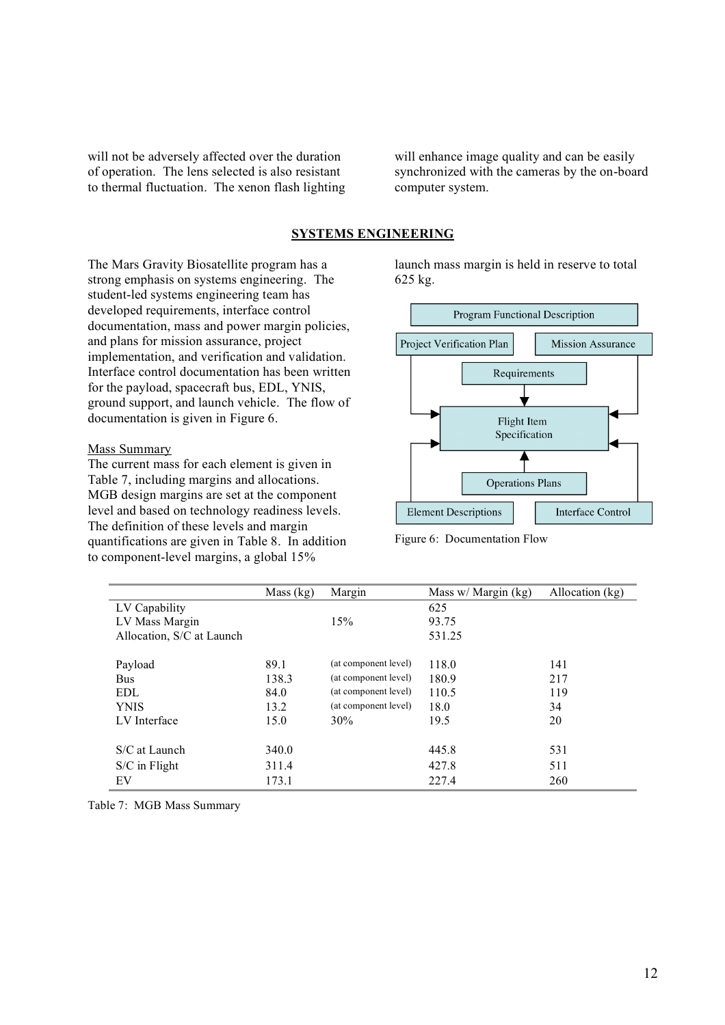will not be adversely affected over the duration of operation. The lens selected is also resistant to thermal fluctuation. The xenon flash lighting will enhance image quality and can be easily synchronized with the cameras by the on-board computer system.

# **SYSTEMS ENGINEERING**

The Mars Gravity Biosatellite program has a strong emphasis on systems engineering. The student-led systems engineering team has developed requirements, interface control documentation, mass and power margin policies, and plans for mission assurance, project implementation, and verification and validation. Interface control documentation has been written for the payload, spacecraft bus, EDL, YNIS, ground support, and launch vehicle. The flow of documentation is given in Figure 6.

## Mass Summary

The current mass for each element is given in Table 7, including margins and allocations. MGB design margins are set at the component level and based on technology readiness levels. The definition of these levels and margin quantifications are given in Table 8. In addition to component-level margins, a global 15%

launch mass margin is held in reserve to total 625 kg.



Figure 6: Documentation Flow

|                           | Mass $(kg)$ | Margin               | Mass $w / \text{Margin (kg)}$ | Allocation (kg) |
|---------------------------|-------------|----------------------|-------------------------------|-----------------|
| LV Capability             |             |                      | 625                           |                 |
| LV Mass Margin            |             | 15%                  | 93.75                         |                 |
| Allocation, S/C at Launch |             |                      | 531.25                        |                 |
|                           |             |                      |                               |                 |
| Payload                   | 89.1        | (at component level) | 118.0                         | 141             |
| <b>Bus</b>                | 138.3       | (at component level) | 180.9                         | 217             |
| <b>EDL</b>                | 84.0        | (at component level) | 110.5                         | 119             |
| <b>YNIS</b>               | 13.2        | (at component level) | 18.0                          | 34              |
| LV Interface              | 15.0        | 30%                  | 19.5                          | 20              |
|                           |             |                      |                               |                 |
| S/C at Launch             | 340.0       |                      | 445.8                         | 531             |
| $S/C$ in Flight           | 311.4       |                      | 427.8                         | 511             |
| EV                        | 173.1       |                      | 227.4                         | 260             |

Table 7: MGB Mass Summary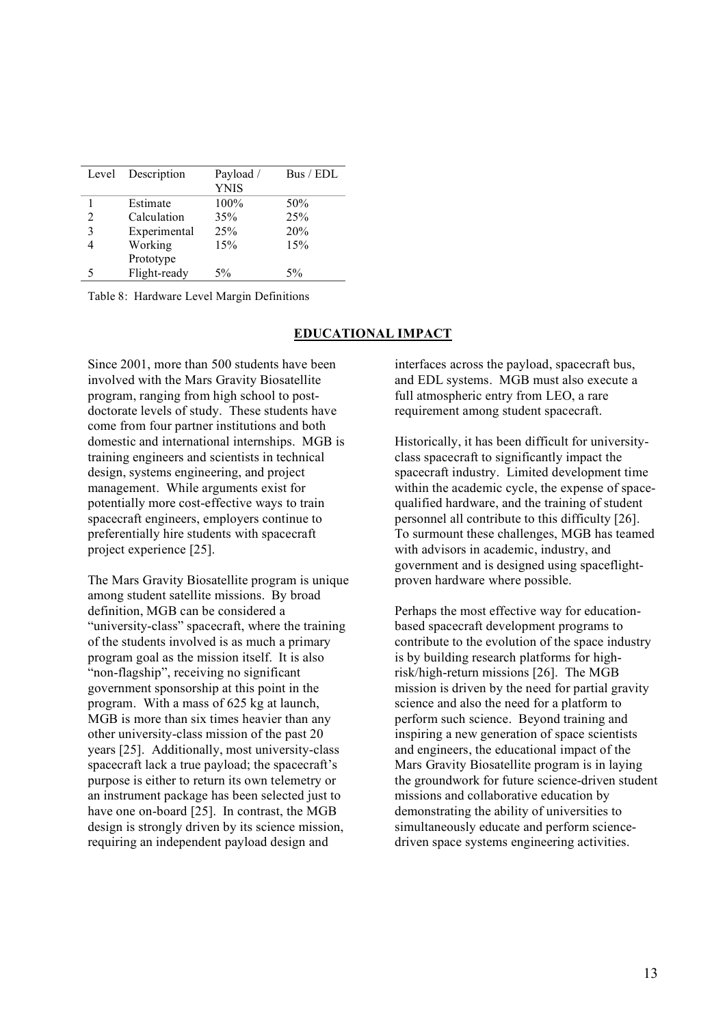| Level | Description  | Payload /   | Bus / EDL |
|-------|--------------|-------------|-----------|
|       |              | <b>YNIS</b> |           |
|       | Estimate     | 100%        | 50%       |
| 2     | Calculation  | 35%         | 25%       |
| 3     | Experimental | 25%         | 20%       |
|       | Working      | 15%         | 15%       |
|       | Prototype    |             |           |
| 5     | Flight-ready | $5\%$       | $5\%$     |

Table 8: Hardware Level Margin Definitions

### **EDUCATIONAL IMPACT**

Since 2001, more than 500 students have been involved with the Mars Gravity Biosatellite program, ranging from high school to postdoctorate levels of study. These students have come from four partner institutions and both domestic and international internships. MGB is training engineers and scientists in technical design, systems engineering, and project management. While arguments exist for potentially more cost-effective ways to train spacecraft engineers, employers continue to preferentially hire students with spacecraft project experience [25].

The Mars Gravity Biosatellite program is unique among student satellite missions. By broad definition, MGB can be considered a "university-class" spacecraft, where the training of the students involved is as much a primary program goal as the mission itself. It is also "non-flagship", receiving no significant government sponsorship at this point in the program. With a mass of 625 kg at launch, MGB is more than six times heavier than any other university-class mission of the past 20 years [25]. Additionally, most university-class spacecraft lack a true payload; the spacecraft's purpose is either to return its own telemetry or an instrument package has been selected just to have one on-board [25]. In contrast, the MGB design is strongly driven by its science mission, requiring an independent payload design and

interfaces across the payload, spacecraft bus, and EDL systems. MGB must also execute a full atmospheric entry from LEO, a rare requirement among student spacecraft.

Historically, it has been difficult for universityclass spacecraft to significantly impact the spacecraft industry. Limited development time within the academic cycle, the expense of spacequalified hardware, and the training of student personnel all contribute to this difficulty [26]. To surmount these challenges, MGB has teamed with advisors in academic, industry, and government and is designed using spaceflightproven hardware where possible.

Perhaps the most effective way for educationbased spacecraft development programs to contribute to the evolution of the space industry is by building research platforms for highrisk/high-return missions [26]. The MGB mission is driven by the need for partial gravity science and also the need for a platform to perform such science. Beyond training and inspiring a new generation of space scientists and engineers, the educational impact of the Mars Gravity Biosatellite program is in laying the groundwork for future science-driven student missions and collaborative education by demonstrating the ability of universities to simultaneously educate and perform sciencedriven space systems engineering activities.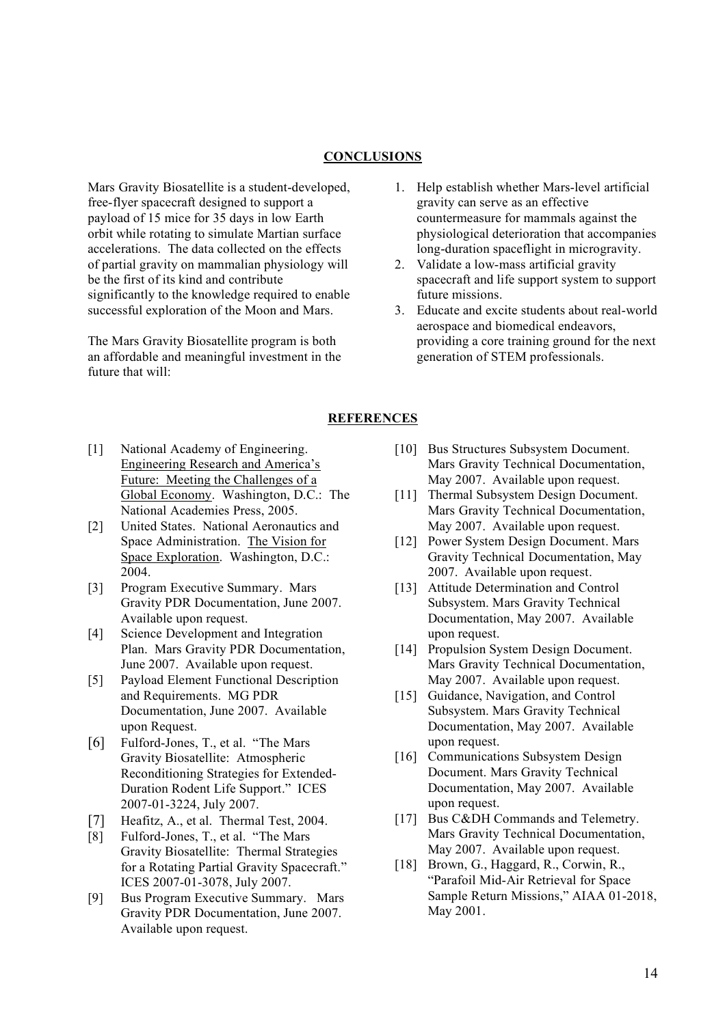# **CONCLUSIONS**

Mars Gravity Biosatellite is a student-developed, free-flyer spacecraft designed to support a payload of 15 mice for 35 days in low Earth orbit while rotating to simulate Martian surface accelerations. The data collected on the effects of partial gravity on mammalian physiology will be the first of its kind and contribute significantly to the knowledge required to enable successful exploration of the Moon and Mars.

The Mars Gravity Biosatellite program is both an affordable and meaningful investment in the future that will:

- 1. Help establish whether Mars-level artificial gravity can serve as an effective countermeasure for mammals against the physiological deterioration that accompanies long-duration spaceflight in microgravity.
- 2. Validate a low-mass artificial gravity spacecraft and life support system to support future missions.
- 3. Educate and excite students about real-world aerospace and biomedical endeavors, providing a core training ground for the next generation of STEM professionals.

### **REFERENCES**

- [1] National Academy of Engineering. Engineering Research and America's Future: Meeting the Challenges of a Global Economy. Washington, D.C.: The National Academies Press, 2005.
- [2] United States. National Aeronautics and Space Administration. The Vision for Space Exploration. Washington, D.C.: 2004.
- [3] Program Executive Summary. Mars Gravity PDR Documentation, June 2007. Available upon request.
- [4] Science Development and Integration Plan. Mars Gravity PDR Documentation, June 2007. Available upon request.
- [5] Payload Element Functional Description and Requirements. MG PDR Documentation, June 2007. Available upon Request.
- [6] Fulford-Jones, T., et al. "The Mars Gravity Biosatellite: Atmospheric Reconditioning Strategies for Extended-Duration Rodent Life Support." ICES 2007-01-3224, July 2007.
- [7] Heafitz, A., et al. Thermal Test, 2004.
- [8] Fulford-Jones, T., et al. "The Mars Gravity Biosatellite: Thermal Strategies for a Rotating Partial Gravity Spacecraft." ICES 2007-01-3078, July 2007.
- [9] Bus Program Executive Summary. Mars Gravity PDR Documentation, June 2007. Available upon request.
- [10] Bus Structures Subsystem Document. Mars Gravity Technical Documentation, May 2007. Available upon request.
- [11] Thermal Subsystem Design Document. Mars Gravity Technical Documentation, May 2007. Available upon request.
- [12] Power System Design Document. Mars Gravity Technical Documentation, May 2007. Available upon request.
- [13] Attitude Determination and Control Subsystem. Mars Gravity Technical Documentation, May 2007. Available upon request.
- [14] Propulsion System Design Document. Mars Gravity Technical Documentation, May 2007. Available upon request.
- [15] Guidance, Navigation, and Control Subsystem. Mars Gravity Technical Documentation, May 2007. Available upon request.
- [16] Communications Subsystem Design Document. Mars Gravity Technical Documentation, May 2007. Available upon request.
- [17] Bus C&DH Commands and Telemetry. Mars Gravity Technical Documentation, May 2007. Available upon request.
- [18] Brown, G., Haggard, R., Corwin, R., "Parafoil Mid-Air Retrieval for Space Sample Return Missions," AIAA 01-2018, May 2001.